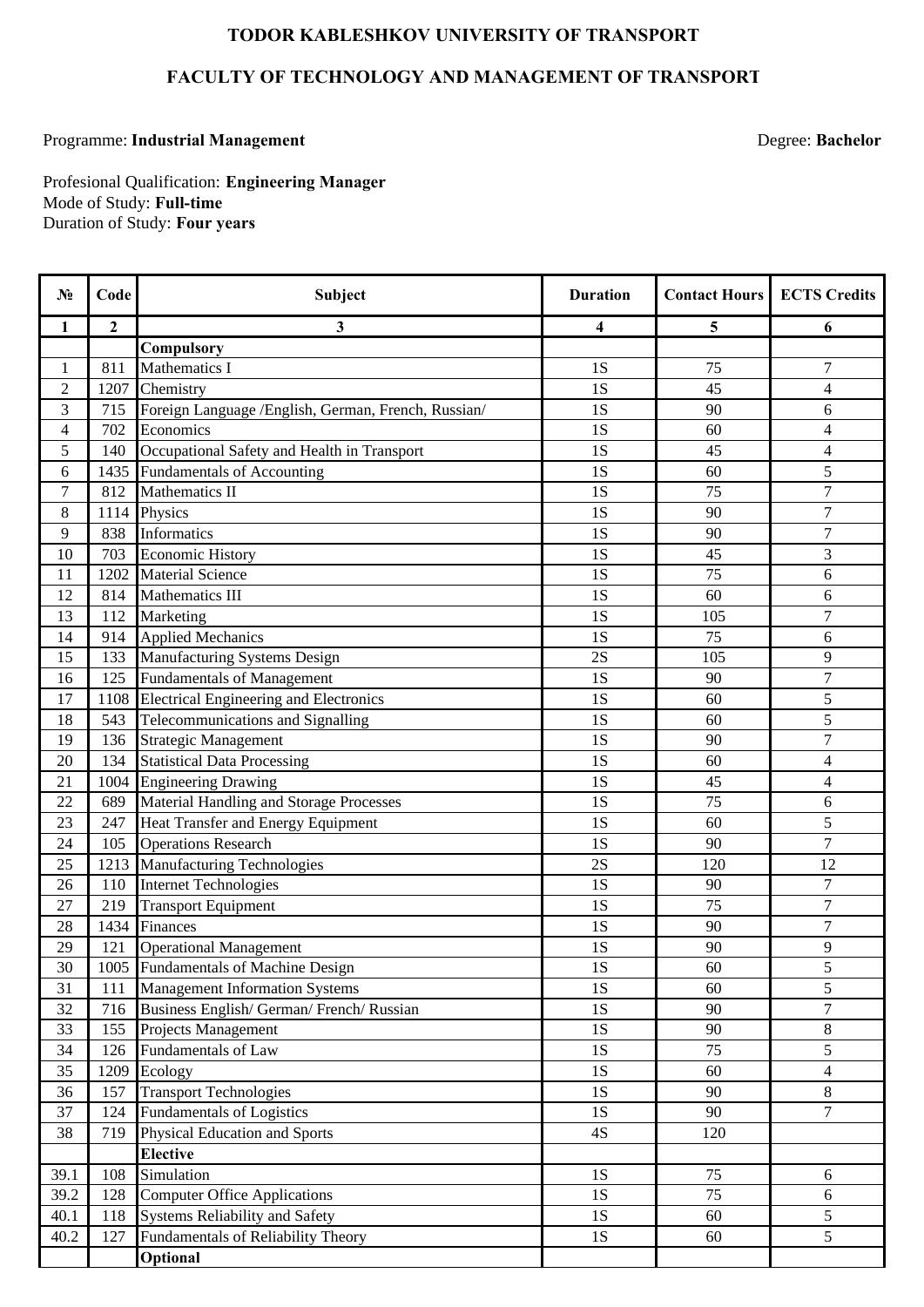## **TODOR KABLESHKOV UNIVERSITY OF TRANSPORT**

## **FACULTY OF TECHNOLOGY AND MANAGEMENT OF TRANSPORT**

## Programme: **Industrial Management**

Degree: **Bachelor**

Duration of Study: **Four years** Profesional Qualification: **Engineering Manager** Mode of Study: **Full-time**

| $N_2$          | Code         | <b>Subject</b>                                      | <b>Duration</b> | <b>Contact Hours</b> | <b>ECTS Credits</b>      |
|----------------|--------------|-----------------------------------------------------|-----------------|----------------------|--------------------------|
| 1              | $\mathbf{2}$ | 3                                                   | 4               | 5                    | 6                        |
|                |              | Compulsory                                          |                 |                      |                          |
| 1              | 811          | Mathematics I                                       | 1S              | 75                   | 7                        |
| $\overline{2}$ | 1207         | Chemistry                                           | 1S              | 45                   | $\overline{4}$           |
| 3              | 715          | Foreign Language /English, German, French, Russian/ | 1S              | 90                   | 6                        |
| $\overline{4}$ | 702          | Economics                                           | 1S              | 60                   | $\overline{4}$           |
| 5              | 140          | Occupational Safety and Health in Transport         | 1S              | 45                   | $\overline{4}$           |
| 6              | 1435         | <b>Fundamentals of Accounting</b>                   | 1S              | 60                   | 5                        |
| $\overline{7}$ | 812          | <b>Mathematics II</b>                               | 1S              | 75                   | $\overline{7}$           |
| 8              | 1114         | Physics                                             | 1S              | 90                   | 7                        |
| 9              | 838          | <b>Informatics</b>                                  | 1S              | 90                   | $\overline{7}$           |
| 10             | 703          | <b>Economic History</b>                             | 1S              | 45                   | 3                        |
| 11             | 1202         | <b>Material Science</b>                             | 1S              | $\overline{75}$      | 6                        |
| 12             | 814          | Mathematics III                                     | 1S              | 60                   | 6                        |
| 13             | 112          | Marketing                                           | 1S              | 105                  | 7                        |
| 14             | 914          | <b>Applied Mechanics</b>                            | 1S              | 75                   | 6                        |
| 15             | 133          | Manufacturing Systems Design                        | 2S              | 105                  | 9                        |
| 16             | 125          | <b>Fundamentals of Management</b>                   | 1S              | 90                   | $\overline{7}$           |
| 17             | 1108         | <b>Electrical Engineering and Electronics</b>       | 1S              | 60                   | 5                        |
| 18             | 543          | Telecommunications and Signalling                   | 1S              | 60                   | 5                        |
| 19             | 136          | <b>Strategic Management</b>                         | 1S              | 90                   | 7                        |
| 20             | 134          | <b>Statistical Data Processing</b>                  | 1S              | 60                   | $\overline{\mathcal{L}}$ |
| 21             | 1004         | <b>Engineering Drawing</b>                          | 1S              | 45                   | $\overline{4}$           |
| 22             | 689          | Material Handling and Storage Processes             | 1S              | 75                   | 6                        |
| 23             | 247          | Heat Transfer and Energy Equipment                  | 1S              | 60                   | 5                        |
| 24             | 105          | <b>Operations Research</b>                          | 1S              | 90                   | 7                        |
| 25             | 1213         | <b>Manufacturing Technologies</b>                   | 2S              | 120                  | 12                       |
| 26             | 110          | <b>Internet Technologies</b>                        | 1S              | 90                   | 7                        |
| 27             | 219          | <b>Transport Equipment</b>                          | 1S              | 75                   | $\overline{7}$           |
| 28             | 1434         | Finances                                            | 1S              | 90                   | $\overline{7}$           |
| 29             | 121          | <b>Operational Management</b>                       | 1S              | 90                   | 9                        |
| 30             |              | 1005 Fundamentals of Machine Design                 | 1S              | 60                   | 5                        |
| 31             | 111          | <b>Management Information Systems</b>               | 1S              | 60                   | 5                        |
| 32             | 716          | Business English/ German/ French/ Russian           | 1S              | 90                   | $\tau$                   |
| 33             | 155          | Projects Management                                 | 1S              | 90                   | 8                        |
| 34             | 126          | <b>Fundamentals of Law</b>                          | 1S              | 75                   | $\overline{5}$           |
| 35             | 1209         | Ecology                                             | 1S              | 60                   | $\overline{4}$           |
| 36             | 157          | <b>Transport Technologies</b>                       | 1S              | 90                   | 8                        |
| 37             | 124          | <b>Fundamentals of Logistics</b>                    | 1S              | 90                   | $\overline{7}$           |
| 38             | 719          | Physical Education and Sports                       | $4S$            | 120                  |                          |
|                |              | <b>Elective</b>                                     |                 |                      |                          |
| 39.1           | 108          | Simulation                                          | 1S              | 75                   | 6                        |
| 39.2           | 128          | <b>Computer Office Applications</b>                 | 1S              | 75                   | 6                        |
| 40.1           | 118          | <b>Systems Reliability and Safety</b>               | 1S              | 60                   | 5                        |
| 40.2           | 127          | Fundamentals of Reliability Theory                  | 1S              | 60                   | 5                        |
|                |              | Optional                                            |                 |                      |                          |